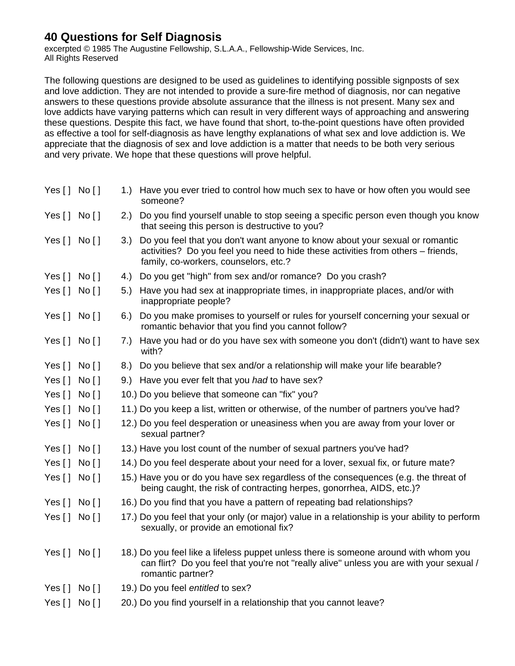## **40 Questions for Self Diagnosis**

excerpted © 1985 The Augustine Fellowship, S.L.A.A., Fellowship-Wide Services, Inc. All Rights Reserved

The following questions are designed to be used as guidelines to identifying possible signposts of sex and love addiction. They are not intended to provide a sure-fire method of diagnosis, nor can negative answers to these questions provide absolute assurance that the illness is not present. Many sex and love addicts have varying patterns which can result in very different ways of approaching and answering these questions. Despite this fact, we have found that short, to-the-point questions have often provided as effective a tool for self-diagnosis as have lengthy explanations of what sex and love addiction is. We appreciate that the diagnosis of sex and love addiction is a matter that needs to be both very serious and very private. We hope that these questions will prove helpful.

| Yes $[ ]$ No $[ ]$ |          |     | 1.) Have you ever tried to control how much sex to have or how often you would see<br>someone?                                                                                                            |
|--------------------|----------|-----|-----------------------------------------------------------------------------------------------------------------------------------------------------------------------------------------------------------|
| Yes[] No[]         |          |     | 2.) Do you find yourself unable to stop seeing a specific person even though you know<br>that seeing this person is destructive to you?                                                                   |
| Yes[] No[]         |          | 3.) | Do you feel that you don't want anyone to know about your sexual or romantic<br>activities? Do you feel you need to hide these activities from others – friends,<br>family, co-workers, counselors, etc.? |
| Yes $[]$ No $[]$   |          |     | 4.) Do you get "high" from sex and/or romance? Do you crash?                                                                                                                                              |
| Yes[]              | No []    | 5.) | Have you had sex at inappropriate times, in inappropriate places, and/or with<br>inappropriate people?                                                                                                    |
| Yes[] No[]         |          | 6.) | Do you make promises to yourself or rules for yourself concerning your sexual or<br>romantic behavior that you find you cannot follow?                                                                    |
| Yes $[]$ No $[]$   |          | 7.) | Have you had or do you have sex with someone you don't (didn't) want to have sex<br>with?                                                                                                                 |
| Yes $[]$ No $[]$   |          |     | 8.) Do you believe that sex and/or a relationship will make your life bearable?                                                                                                                           |
| Yes[]              | No [ ]   |     | 9.) Have you ever felt that you had to have sex?                                                                                                                                                          |
| Yes[]              | No [ ]   |     | 10.) Do you believe that someone can "fix" you?                                                                                                                                                           |
| Yes[]              | No []    |     | 11.) Do you keep a list, written or otherwise, of the number of partners you've had?                                                                                                                      |
| Yes $[]$           | No []    |     | 12.) Do you feel desperation or uneasiness when you are away from your lover or<br>sexual partner?                                                                                                        |
| Yes[]              | _ No [ ] |     | 13.) Have you lost count of the number of sexual partners you've had?                                                                                                                                     |
| Yes[]              | No [ ]   |     | 14.) Do you feel desperate about your need for a lover, sexual fix, or future mate?                                                                                                                       |
| Yes[]              | No []    |     | 15.) Have you or do you have sex regardless of the consequences (e.g. the threat of<br>being caught, the risk of contracting herpes, gonorrhea, AIDS, etc.)?                                              |
| Yes[] No[]         |          |     | 16.) Do you find that you have a pattern of repeating bad relationships?                                                                                                                                  |
| Yes $[]$           | No [ ]   |     | 17.) Do you feel that your only (or major) value in a relationship is your ability to perform<br>sexually, or provide an emotional fix?                                                                   |
| Yes [] No []       |          |     | 18.) Do you feel like a lifeless puppet unless there is someone around with whom you<br>can flirt? Do you feel that you're not "really alive" unless you are with your sexual /<br>romantic partner?      |
| Yes $[$ ]          | No [ ]   |     | 19.) Do you feel entitled to sex?                                                                                                                                                                         |
| Yes $[]$           | No [ ]   |     | 20.) Do you find yourself in a relationship that you cannot leave?                                                                                                                                        |